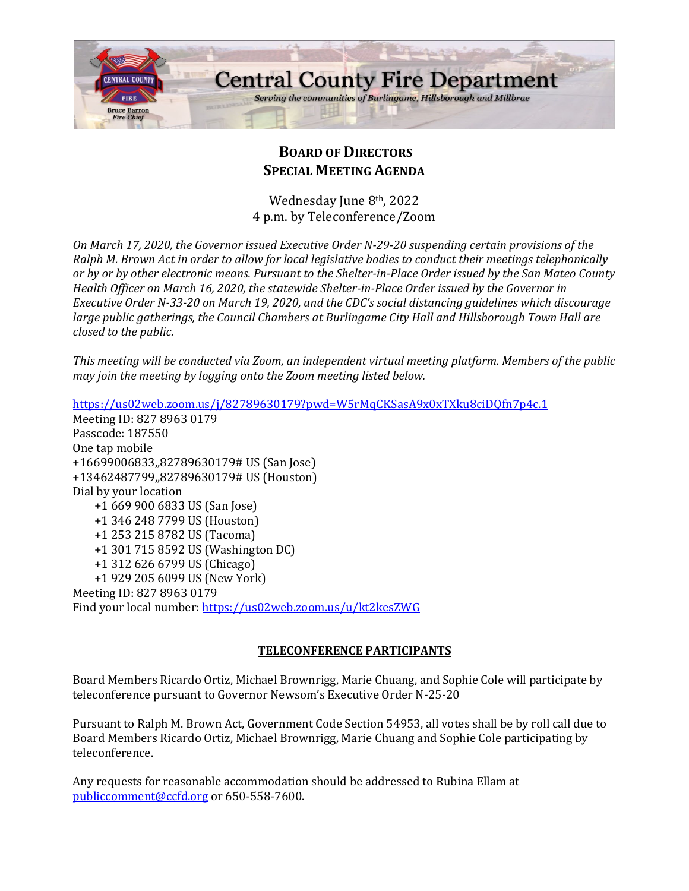

# **BOARD OF DIRECTORS SPECIAL MEETING AGENDA**

Wednesday June 8th, 2022 4 p.m. by Teleconference/Zoom

*On March 17, 2020, the Governor issued Executive Order N-29-20 suspending certain provisions of the Ralph M. Brown Act in order to allow for local legislative bodies to conduct their meetings telephonically or by or by other electronic means. Pursuant to the Shelter-in-Place Order issued by the San Mateo County Health Officer on March 16, 2020, the statewide Shelter-in-Place Order issued by the Governor in Executive Order N-33-20 on March 19, 2020, and the CDC's social distancing guidelines which discourage large public gatherings, the Council Chambers at Burlingame City Hall and Hillsborough Town Hall are closed to the public.*

*This meeting will be conducted via Zoom, an independent virtual meeting platform. Members of the public may join the meeting by logging onto the Zoom meeting listed below.* 

<https://us02web.zoom.us/j/82789630179?pwd=W5rMqCKSasA9x0xTXku8ciDQfn7p4c.1> Meeting ID: 827 8963 0179 Passcode: 187550 One tap mobile +16699006833,,82789630179# US (San Jose) +13462487799,,82789630179# US (Houston) Dial by your location +1 669 900 6833 US (San Jose) +1 346 248 7799 US (Houston) +1 253 215 8782 US (Tacoma) +1 301 715 8592 US (Washington DC) +1 312 626 6799 US (Chicago) +1 929 205 6099 US (New York) Meeting ID: 827 8963 0179 Find your local number:<https://us02web.zoom.us/u/kt2kesZWG>

## **TELECONFERENCE PARTICIPANTS**

Board Members Ricardo Ortiz, Michael Brownrigg, Marie Chuang, and Sophie Cole will participate by teleconference pursuant to Governor Newsom's Executive Order N-25-20

Pursuant to Ralph M. Brown Act, Government Code Section 54953, all votes shall be by roll call due to Board Members Ricardo Ortiz, Michael Brownrigg, Marie Chuang and Sophie Cole participating by teleconference.

Any requests for reasonable accommodation should be addressed to Rubina Ellam at [publiccomment@ccfd.org](mailto:publiccomment@ccfd.org) or 650-558-7600.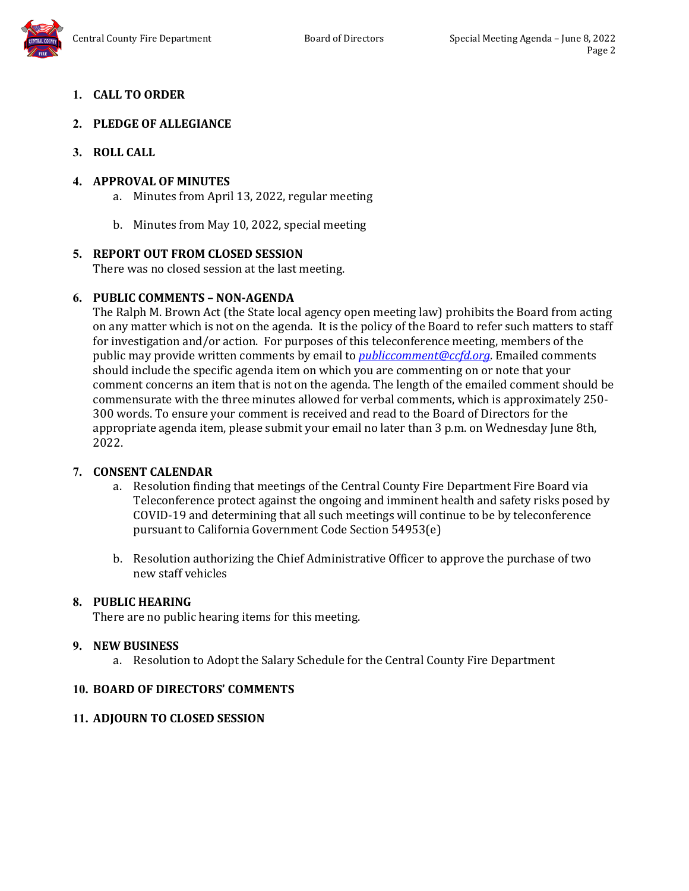# **1. CALL TO ORDER**

## **2. PLEDGE OF ALLEGIANCE**

## **3. ROLL CALL**

## **4. APPROVAL OF MINUTES**

- a. Minutes from April 13, 2022, regular meeting
- b. Minutes from May 10, 2022, special meeting

## **5. REPORT OUT FROM CLOSED SESSION**

There was no closed session at the last meeting.

## **6. PUBLIC COMMENTS – NON-AGENDA**

The Ralph M. Brown Act (the State local agency open meeting law) prohibits the Board from acting on any matter which is not on the agenda. It is the policy of the Board to refer such matters to staff for investigation and/or action. For purposes of this teleconference meeting, members of the public may provide written comments by email to *[publiccomment@ccfd.org](mailto:publiccomment@ccfd.org)*. Emailed comments should include the specific agenda item on which you are commenting on or note that your comment concerns an item that is not on the agenda. The length of the emailed comment should be commensurate with the three minutes allowed for verbal comments, which is approximately 250- 300 words. To ensure your comment is received and read to the Board of Directors for the appropriate agenda item, please submit your email no later than 3 p.m. on Wednesday June 8th, 2022.

## **7. CONSENT CALENDAR**

- a. Resolution finding that meetings of the Central County Fire Department Fire Board via Teleconference protect against the ongoing and imminent health and safety risks posed by COVID-19 and determining that all such meetings will continue to be by teleconference pursuant to California Government Code Section 54953(e)
- b. Resolution authorizing the Chief Administrative Officer to approve the purchase of two new staff vehicles

## **8. PUBLIC HEARING**

There are no public hearing items for this meeting.

## **9. NEW BUSINESS**

a. Resolution to Adopt the Salary Schedule for the Central County Fire Department

## **10. BOARD OF DIRECTORS' COMMENTS**

## **11. ADJOURN TO CLOSED SESSION**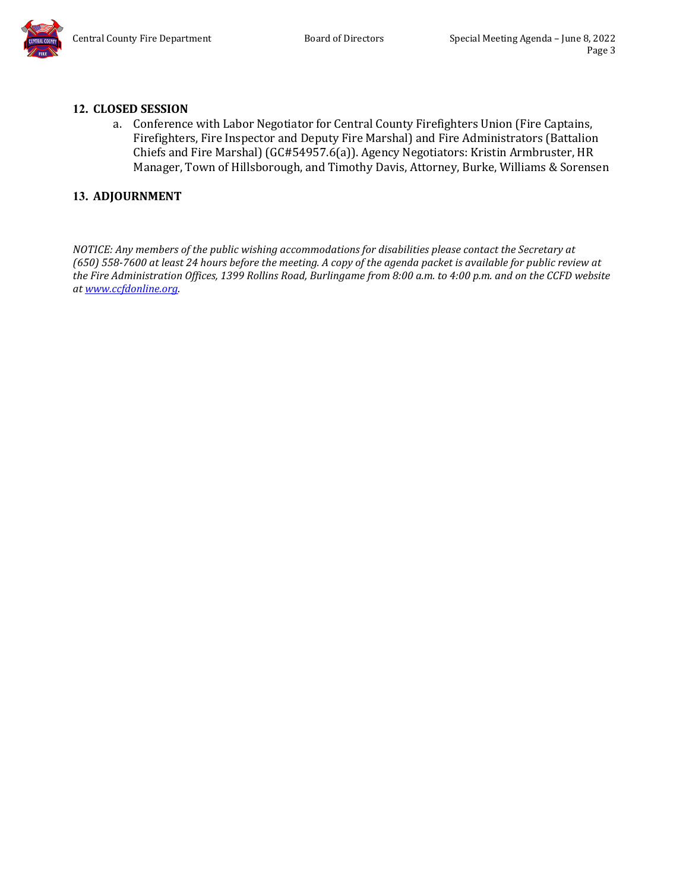## **12. CLOSED SESSION**

a. Conference with Labor Negotiator for Central County Firefighters Union (Fire Captains, Firefighters, Fire Inspector and Deputy Fire Marshal) and Fire Administrators (Battalion Chiefs and Fire Marshal) (GC#54957.6(a)). Agency Negotiators: Kristin Armbruster, HR Manager, Town of Hillsborough, and Timothy Davis, Attorney, Burke, Williams & Sorensen

## **13. ADJOURNMENT**

*NOTICE: Any members of the public wishing accommodations for disabilities please contact the Secretary at (650) 558-7600 at least 24 hours before the meeting. A copy of the agenda packet is available for public review at the Fire Administration Offices, 1399 Rollins Road, Burlingame from 8:00 a.m. to 4:00 p.m. and on the CCFD website a[t www.ccfdonline.org.](http://www.ccfdonline.org/)*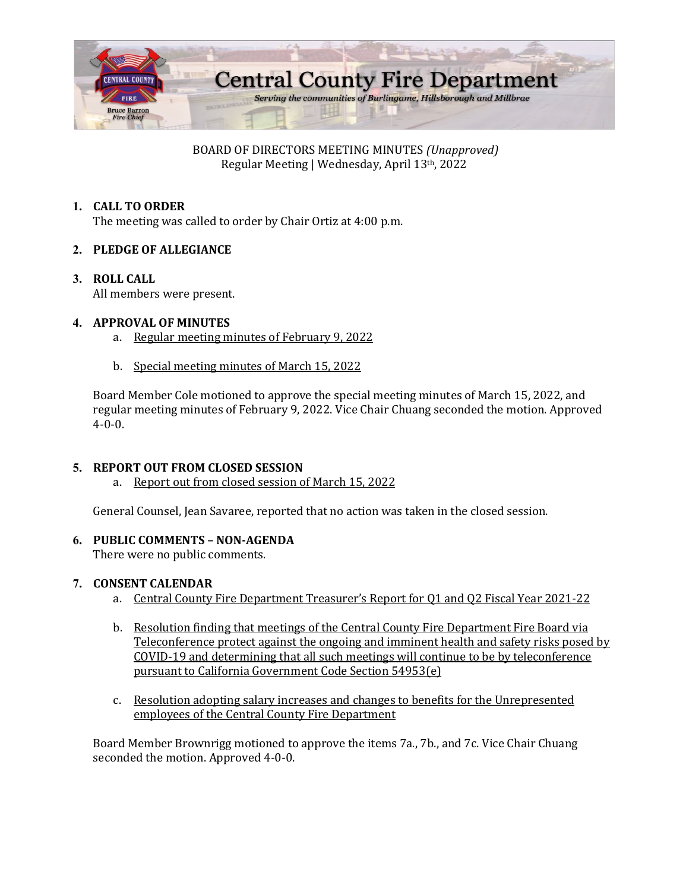

BOARD OF DIRECTORS MEETING MINUTES *(Unapproved)* Regular Meeting | Wednesday, April 13th, 2022

## **1. CALL TO ORDER**

The meeting was called to order by Chair Ortiz at 4:00 p.m.

## **2. PLEDGE OF ALLEGIANCE**

**3. ROLL CALL** All members were present.

## **4. APPROVAL OF MINUTES**

- a. Regular meeting minutes of February 9, 2022
- b. Special meeting minutes of March 15, 2022

Board Member Cole motioned to approve the special meeting minutes of March 15, 2022, and regular meeting minutes of February 9, 2022. Vice Chair Chuang seconded the motion. Approved 4-0-0.

## **5. REPORT OUT FROM CLOSED SESSION**

a. Report out from closed session of March 15, 2022

General Counsel, Jean Savaree, reported that no action was taken in the closed session.

## **6. PUBLIC COMMENTS – NON-AGENDA**

There were no public comments.

#### **7. CONSENT CALENDAR**

- a. Central County Fire Department Treasurer's Report for Q1 and Q2 Fiscal Year 2021-22
- b. Resolution finding that meetings of the Central County Fire Department Fire Board via Teleconference protect against the ongoing and imminent health and safety risks posed by COVID-19 and determining that all such meetings will continue to be by teleconference pursuant to California Government Code Section 54953(e)
- c. Resolution adopting salary increases and changes to benefits for the Unrepresented employees of the Central County Fire Department

Board Member Brownrigg motioned to approve the items 7a., 7b., and 7c. Vice Chair Chuang seconded the motion. Approved 4-0-0.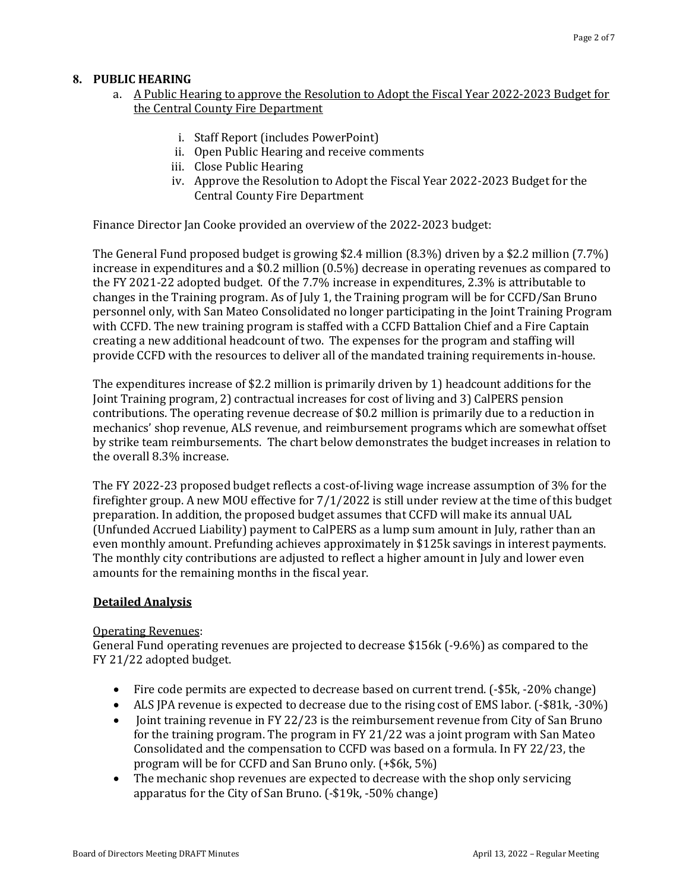#### **8. PUBLIC HEARING**

#### a. A Public Hearing to approve the Resolution to Adopt the Fiscal Year 2022-2023 Budget for the Central County Fire Department

- i. Staff Report (includes PowerPoint)
- ii. Open Public Hearing and receive comments
- iii. Close Public Hearing
- iv. Approve the Resolution to Adopt the Fiscal Year 2022-2023 Budget for the Central County Fire Department

Finance Director Jan Cooke provided an overview of the 2022-2023 budget:

The General Fund proposed budget is growing \$2.4 million (8.3%) driven by a \$2.2 million (7.7%) increase in expenditures and a \$0.2 million (0.5%) decrease in operating revenues as compared to the FY 2021-22 adopted budget. Of the 7.7% increase in expenditures, 2.3% is attributable to changes in the Training program. As of July 1, the Training program will be for CCFD/San Bruno personnel only, with San Mateo Consolidated no longer participating in the Joint Training Program with CCFD. The new training program is staffed with a CCFD Battalion Chief and a Fire Captain creating a new additional headcount of two. The expenses for the program and staffing will provide CCFD with the resources to deliver all of the mandated training requirements in-house.

The expenditures increase of \$2.2 million is primarily driven by 1) headcount additions for the Joint Training program, 2) contractual increases for cost of living and 3) CalPERS pension contributions. The operating revenue decrease of \$0.2 million is primarily due to a reduction in mechanics' shop revenue, ALS revenue, and reimbursement programs which are somewhat offset by strike team reimbursements. The chart below demonstrates the budget increases in relation to the overall 8.3% increase.

The FY 2022-23 proposed budget reflects a cost-of-living wage increase assumption of 3% for the firefighter group. A new MOU effective for 7/1/2022 is still under review at the time of this budget preparation. In addition, the proposed budget assumes that CCFD will make its annual UAL (Unfunded Accrued Liability) payment to CalPERS as a lump sum amount in July, rather than an even monthly amount. Prefunding achieves approximately in \$125k savings in interest payments. The monthly city contributions are adjusted to reflect a higher amount in July and lower even amounts for the remaining months in the fiscal year.

#### **Detailed Analysis**

#### Operating Revenues:

General Fund operating revenues are projected to decrease \$156k (-9.6%) as compared to the FY 21/22 adopted budget.

- Fire code permits are expected to decrease based on current trend. [-\$5k, -20% change]
- ALS JPA revenue is expected to decrease due to the rising cost of EMS labor. (-\$81k, -30%)
- Joint training revenue in FY 22/23 is the reimbursement revenue from City of San Bruno for the training program. The program in FY 21/22 was a joint program with San Mateo Consolidated and the compensation to CCFD was based on a formula. In FY 22/23, the program will be for CCFD and San Bruno only. (+\$6k, 5%)
- The mechanic shop revenues are expected to decrease with the shop only servicing apparatus for the City of San Bruno. (-\$19k, -50% change)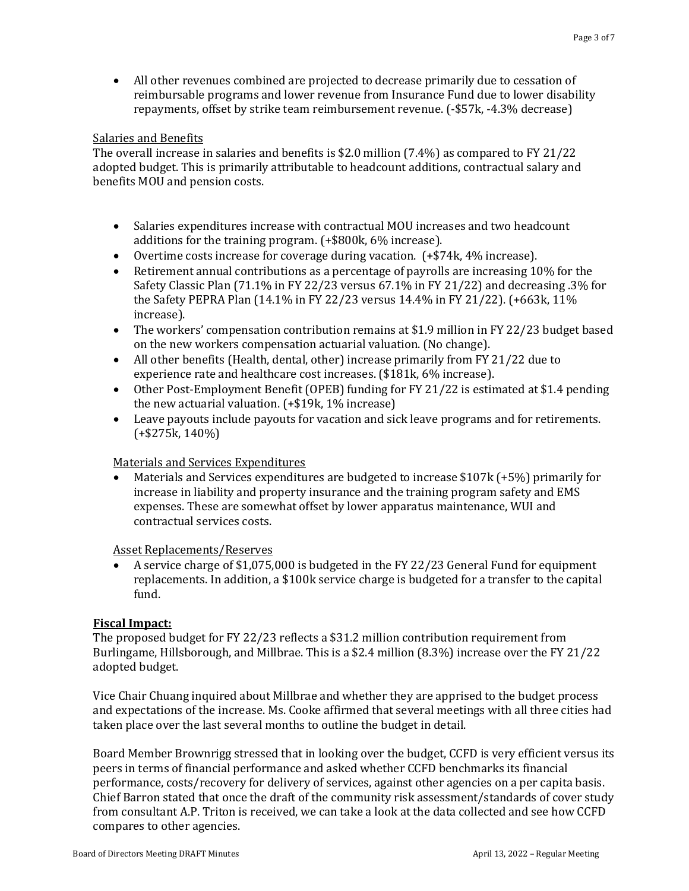• All other revenues combined are projected to decrease primarily due to cessation of reimbursable programs and lower revenue from Insurance Fund due to lower disability repayments, offset by strike team reimbursement revenue. (-\$57k, -4.3% decrease)

#### Salaries and Benefits

The overall increase in salaries and benefits is \$2.0 million (7.4%) as compared to FY 21/22 adopted budget. This is primarily attributable to headcount additions, contractual salary and benefits MOU and pension costs.

- Salaries expenditures increase with contractual MOU increases and two headcount additions for the training program. (+\$800k, 6% increase).
- Overtime costs increase for coverage during vacation. (+\$74k, 4% increase).
- Retirement annual contributions as a percentage of payrolls are increasing 10% for the Safety Classic Plan (71.1% in FY 22/23 versus 67.1% in FY 21/22) and decreasing .3% for the Safety PEPRA Plan (14.1% in FY 22/23 versus 14.4% in FY 21/22). (+663k, 11% increase).
- The workers' compensation contribution remains at \$1.9 million in FY 22/23 budget based on the new workers compensation actuarial valuation. (No change).
- All other benefits (Health, dental, other) increase primarily from FY 21/22 due to experience rate and healthcare cost increases. (\$181k, 6% increase).
- Other Post-Employment Benefit (OPEB) funding for FY 21/22 is estimated at \$1.4 pending the new actuarial valuation. (+\$19k, 1% increase)
- Leave payouts include payouts for vacation and sick leave programs and for retirements. (+\$275k, 140%)

#### Materials and Services Expenditures

• Materials and Services expenditures are budgeted to increase \$107k (+5%) primarily for increase in liability and property insurance and the training program safety and EMS expenses. These are somewhat offset by lower apparatus maintenance, WUI and contractual services costs.

Asset Replacements/Reserves

• A service charge of \$1,075,000 is budgeted in the FY 22/23 General Fund for equipment replacements. In addition, a \$100k service charge is budgeted for a transfer to the capital fund.

#### **Fiscal Impact:**

The proposed budget for FY 22/23 reflects a \$31.2 million contribution requirement from Burlingame, Hillsborough, and Millbrae. This is a \$2.4 million (8.3%) increase over the FY 21/22 adopted budget.

Vice Chair Chuang inquired about Millbrae and whether they are apprised to the budget process and expectations of the increase. Ms. Cooke affirmed that several meetings with all three cities had taken place over the last several months to outline the budget in detail.

Board Member Brownrigg stressed that in looking over the budget, CCFD is very efficient versus its peers in terms of financial performance and asked whether CCFD benchmarks its financial performance, costs/recovery for delivery of services, against other agencies on a per capita basis. Chief Barron stated that once the draft of the community risk assessment/standards of cover study from consultant A.P. Triton is received, we can take a look at the data collected and see how CCFD compares to other agencies.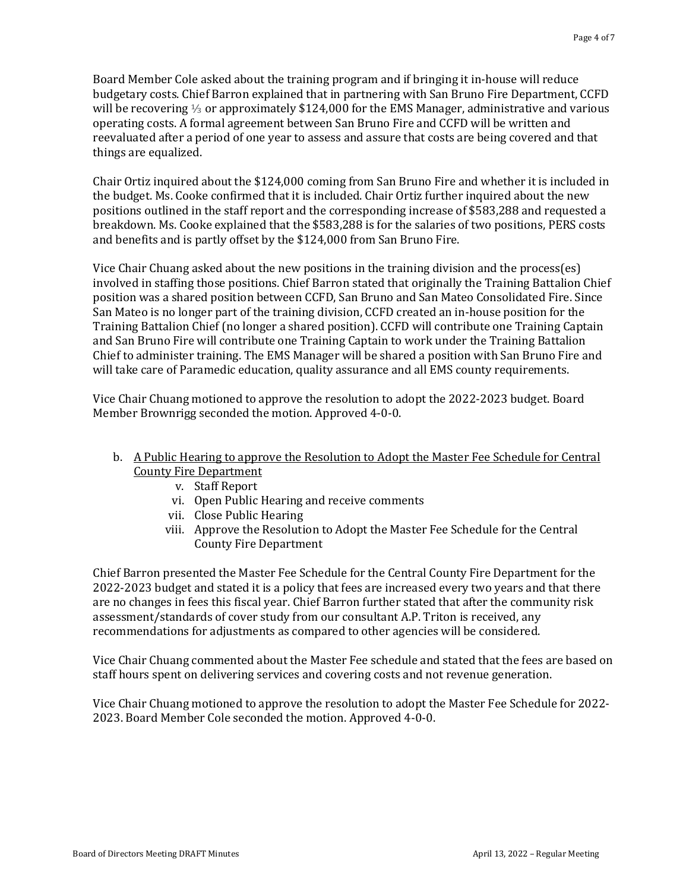Board Member Cole asked about the training program and if bringing it in-house will reduce budgetary costs. Chief Barron explained that in partnering with San Bruno Fire Department, CCFD will be recovering ⅓ or approximately \$124,000 for the EMS Manager, administrative and various operating costs. A formal agreement between San Bruno Fire and CCFD will be written and reevaluated after a period of one year to assess and assure that costs are being covered and that things are equalized.

Chair Ortiz inquired about the \$124,000 coming from San Bruno Fire and whether it is included in the budget. Ms. Cooke confirmed that it is included. Chair Ortiz further inquired about the new positions outlined in the staff report and the corresponding increase of \$583,288 and requested a breakdown. Ms. Cooke explained that the \$583,288 is for the salaries of two positions, PERS costs and benefits and is partly offset by the \$124,000 from San Bruno Fire.

Vice Chair Chuang asked about the new positions in the training division and the process(es) involved in staffing those positions. Chief Barron stated that originally the Training Battalion Chief position was a shared position between CCFD, San Bruno and San Mateo Consolidated Fire. Since San Mateo is no longer part of the training division, CCFD created an in-house position for the Training Battalion Chief (no longer a shared position). CCFD will contribute one Training Captain and San Bruno Fire will contribute one Training Captain to work under the Training Battalion Chief to administer training. The EMS Manager will be shared a position with San Bruno Fire and will take care of Paramedic education, quality assurance and all EMS county requirements.

Vice Chair Chuang motioned to approve the resolution to adopt the 2022-2023 budget. Board Member Brownrigg seconded the motion. Approved 4-0-0.

#### b. A Public Hearing to approve the Resolution to Adopt the Master Fee Schedule for Central County Fire Department

- v. Staff Report
- vi. Open Public Hearing and receive comments
- vii. Close Public Hearing
- viii. Approve the Resolution to Adopt the Master Fee Schedule for the Central County Fire Department

Chief Barron presented the Master Fee Schedule for the Central County Fire Department for the 2022-2023 budget and stated it is a policy that fees are increased every two years and that there are no changes in fees this fiscal year. Chief Barron further stated that after the community risk assessment/standards of cover study from our consultant A.P. Triton is received, any recommendations for adjustments as compared to other agencies will be considered.

Vice Chair Chuang commented about the Master Fee schedule and stated that the fees are based on staff hours spent on delivering services and covering costs and not revenue generation.

Vice Chair Chuang motioned to approve the resolution to adopt the Master Fee Schedule for 2022- 2023. Board Member Cole seconded the motion. Approved 4-0-0.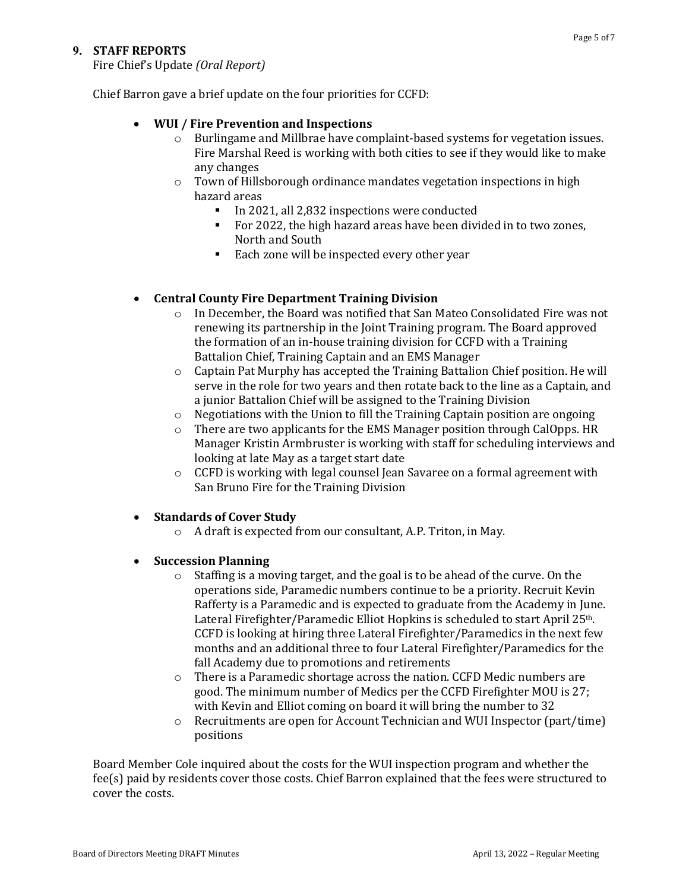#### **9. STAFF REPORTS**

Fire Chief's Update *(Oral Report)*

Chief Barron gave a brief update on the four priorities for CCFD:

#### • **WUI / Fire Prevention and Inspections**

- $\circ$  Burlingame and Millbrae have complaint-based systems for vegetation issues. Fire Marshal Reed is working with both cities to see if they would like to make any changes
- $\circ$  Town of Hillsborough ordinance mandates vegetation inspections in high hazard areas
	- In 2021, all 2,832 inspections were conducted
	- For 2022, the high hazard areas have been divided in to two zones, North and South
	- Each zone will be inspected every other year

#### • **Central County Fire Department Training Division**

- o In December, the Board was notified that San Mateo Consolidated Fire was not renewing its partnership in the Joint Training program. The Board approved the formation of an in-house training division for CCFD with a Training Battalion Chief, Training Captain and an EMS Manager
- o Captain Pat Murphy has accepted the Training Battalion Chief position. He will serve in the role for two years and then rotate back to the line as a Captain, and a junior Battalion Chief will be assigned to the Training Division
- o Negotiations with the Union to fill the Training Captain position are ongoing
- $\circ$  There are two applicants for the EMS Manager position through CalOpps. HR Manager Kristin Armbruster is working with staff for scheduling interviews and looking at late May as a target start date
- $\circ$  CCFD is working with legal counsel Jean Savaree on a formal agreement with San Bruno Fire for the Training Division

#### • **Standards of Cover Study**

o A draft is expected from our consultant, A.P. Triton, in May.

#### • **Succession Planning**

- $\circ$  Staffing is a moving target, and the goal is to be ahead of the curve. On the operations side, Paramedic numbers continue to be a priority. Recruit Kevin Rafferty is a Paramedic and is expected to graduate from the Academy in June. Lateral Firefighter/Paramedic Elliot Hopkins is scheduled to start April 25<sup>th</sup>. CCFD is looking at hiring three Lateral Firefighter/Paramedics in the next few months and an additional three to four Lateral Firefighter/Paramedics for the fall Academy due to promotions and retirements
- $\circ$  There is a Paramedic shortage across the nation. CCFD Medic numbers are good. The minimum number of Medics per the CCFD Firefighter MOU is 27; with Kevin and Elliot coming on board it will bring the number to 32
- o Recruitments are open for Account Technician and WUI Inspector (part/time) positions

Board Member Cole inquired about the costs for the WUI inspection program and whether the fee(s) paid by residents cover those costs. Chief Barron explained that the fees were structured to cover the costs.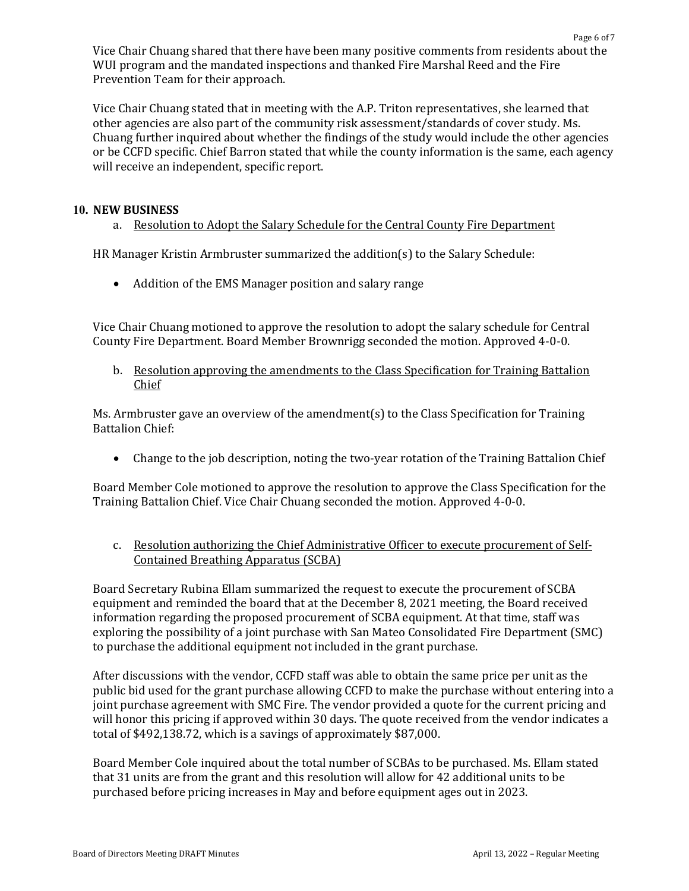Vice Chair Chuang shared that there have been many positive comments from residents about the WUI program and the mandated inspections and thanked Fire Marshal Reed and the Fire Prevention Team for their approach.

Vice Chair Chuang stated that in meeting with the A.P. Triton representatives, she learned that other agencies are also part of the community risk assessment/standards of cover study. Ms. Chuang further inquired about whether the findings of the study would include the other agencies or be CCFD specific. Chief Barron stated that while the county information is the same, each agency will receive an independent, specific report.

#### **10. NEW BUSINESS**

a. Resolution to Adopt the Salary Schedule for the Central County Fire Department

HR Manager Kristin Armbruster summarized the addition(s) to the Salary Schedule:

• Addition of the EMS Manager position and salary range

Vice Chair Chuang motioned to approve the resolution to adopt the salary schedule for Central County Fire Department. Board Member Brownrigg seconded the motion. Approved 4-0-0.

b. Resolution approving the amendments to the Class Specification for Training Battalion Chief

Ms. Armbruster gave an overview of the amendment(s) to the Class Specification for Training Battalion Chief:

• Change to the job description, noting the two-year rotation of the Training Battalion Chief

Board Member Cole motioned to approve the resolution to approve the Class Specification for the Training Battalion Chief. Vice Chair Chuang seconded the motion. Approved 4-0-0.

c. Resolution authorizing the Chief Administrative Officer to execute procurement of Self-Contained Breathing Apparatus (SCBA)

Board Secretary Rubina Ellam summarized the request to execute the procurement of SCBA equipment and reminded the board that at the December 8, 2021 meeting, the Board received information regarding the proposed procurement of SCBA equipment. At that time, staff was exploring the possibility of a joint purchase with San Mateo Consolidated Fire Department (SMC) to purchase the additional equipment not included in the grant purchase.

After discussions with the vendor, CCFD staff was able to obtain the same price per unit as the public bid used for the grant purchase allowing CCFD to make the purchase without entering into a joint purchase agreement with SMC Fire. The vendor provided a quote for the current pricing and will honor this pricing if approved within 30 days. The quote received from the vendor indicates a total of \$492,138.72, which is a savings of approximately \$87,000.

Board Member Cole inquired about the total number of SCBAs to be purchased. Ms. Ellam stated that 31 units are from the grant and this resolution will allow for 42 additional units to be purchased before pricing increases in May and before equipment ages out in 2023.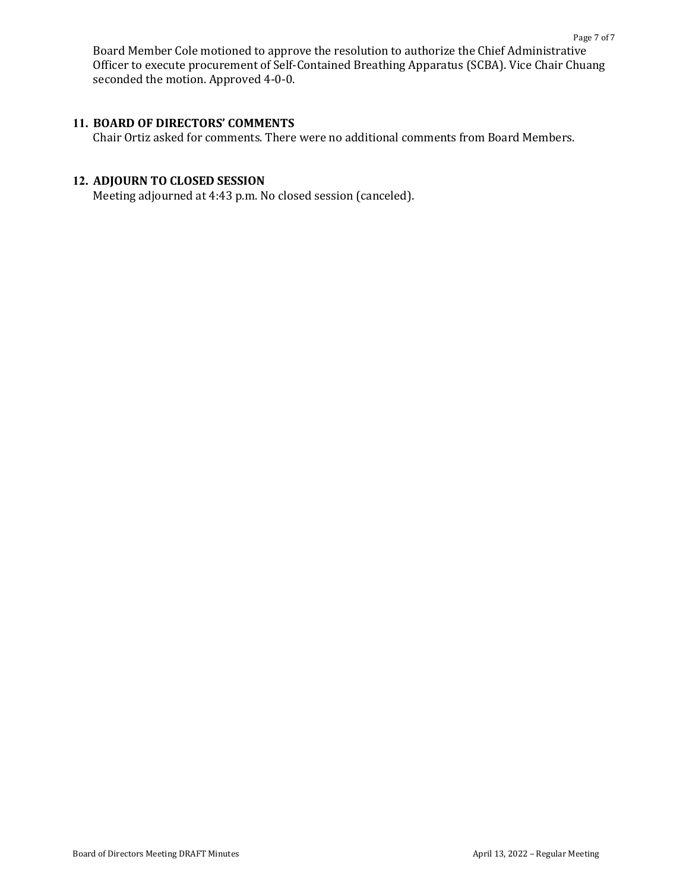Board Member Cole motioned to approve the resolution to authorize the Chief Administrative Officer to execute procurement of Self-Contained Breathing Apparatus (SCBA). Vice Chair Chuang seconded the motion. Approved 4-0-0.

#### **11. BOARD OF DIRECTORS' COMMENTS**

Chair Ortiz asked for comments. There were no additional comments from Board Members.

#### **12. ADJOURN TO CLOSED SESSION**

Meeting adjourned at 4:43 p.m. No closed session (canceled).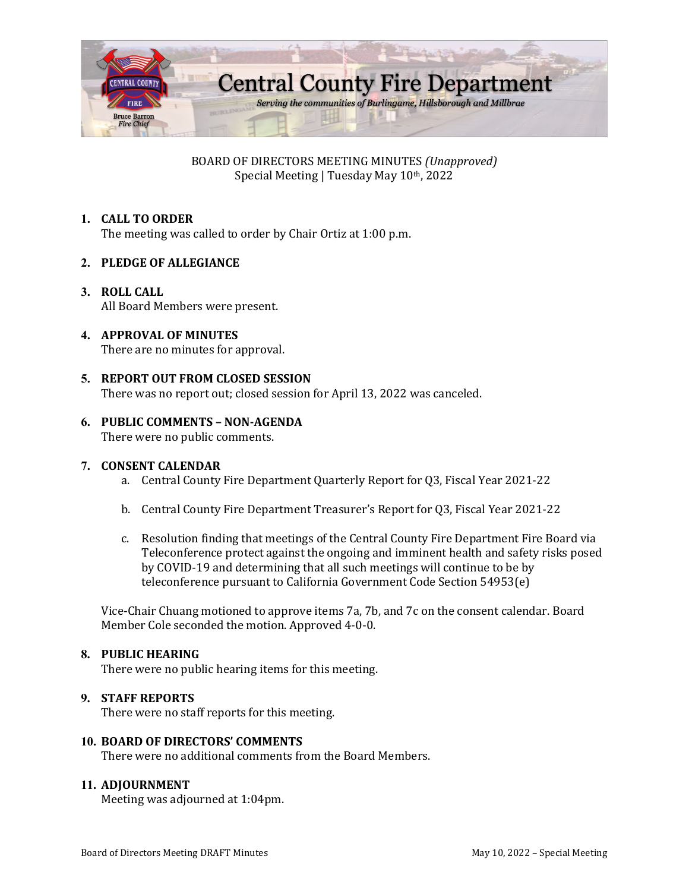

BOARD OF DIRECTORS MEETING MINUTES *(Unapproved)* Special Meeting | Tuesday May 10th, 2022

## **1. CALL TO ORDER**

The meeting was called to order by Chair Ortiz at 1:00 p.m.

#### **2. PLEDGE OF ALLEGIANCE**

**3. ROLL CALL** All Board Members were present.

#### **4. APPROVAL OF MINUTES**

There are no minutes for approval.

#### **5. REPORT OUT FROM CLOSED SESSION**

There was no report out; closed session for April 13, 2022 was canceled.

#### **6. PUBLIC COMMENTS – NON-AGENDA**

There were no public comments.

#### **7. CONSENT CALENDAR**

- a. Central County Fire Department Quarterly Report for Q3, Fiscal Year 2021-22
- b. Central County Fire Department Treasurer's Report for Q3, Fiscal Year 2021-22
- c. Resolution finding that meetings of the Central County Fire Department Fire Board via Teleconference protect against the ongoing and imminent health and safety risks posed by COVID-19 and determining that all such meetings will continue to be by teleconference pursuant to California Government Code Section 54953(e)

Vice-Chair Chuang motioned to approve items 7a, 7b, and 7c on the consent calendar. Board Member Cole seconded the motion. Approved 4-0-0.

#### **8. PUBLIC HEARING**

There were no public hearing items for this meeting.

#### **9. STAFF REPORTS**

There were no staff reports for this meeting.

#### **10. BOARD OF DIRECTORS' COMMENTS**

There were no additional comments from the Board Members.

#### **11. ADJOURNMENT**

Meeting was adjourned at 1:04pm.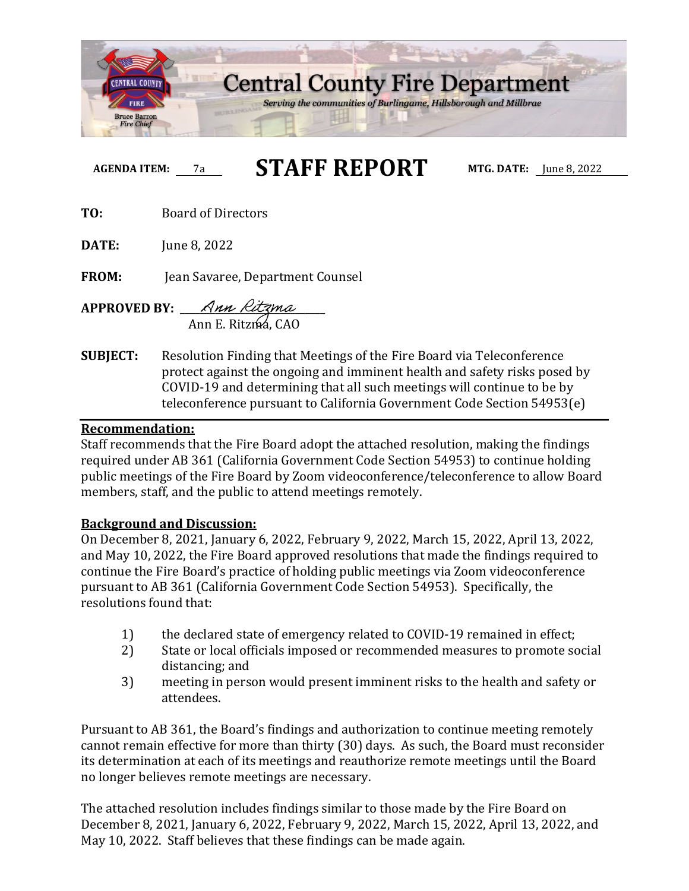

# **AGENDA ITEM:** 7a **STAFF REPORT MTG. DATE:** June 8, 2022

**TO:** Board of Directors

**DATE:** June 8, 2022

**FROM:** Jean Savaree, Department Counsel

- **APPROVED BY: \_\_\_\_\_\_\_\_\_\_\_\_\_\_\_\_\_\_\_\_\_\_\_\_\_\_\_\_\_** Ann E. Ritzma, CAO
- **SUBJECT:** Resolution Finding that Meetings of the Fire Board via Teleconference protect against the ongoing and imminent health and safety risks posed by COVID-19 and determining that all such meetings will continue to be by teleconference pursuant to California Government Code Section 54953(e)

## **Recommendation:**

Staff recommends that the Fire Board adopt the attached resolution, making the findings required under AB 361 (California Government Code Section 54953) to continue holding public meetings of the Fire Board by Zoom videoconference/teleconference to allow Board members, staff, and the public to attend meetings remotely.

# **Background and Discussion:**

On December 8, 2021, January 6, 2022, February 9, 2022, March 15, 2022, April 13, 2022, and May 10, 2022, the Fire Board approved resolutions that made the findings required to continue the Fire Board's practice of holding public meetings via Zoom videoconference pursuant to AB 361 (California Government Code Section 54953). Specifically, the resolutions found that:

- 
- 1) the declared state of emergency related to COVID-19 remained in effect;<br>2) State or local officials imposed or recommended measures to promote so State or local officials imposed or recommended measures to promote social distancing; and
- 3) meeting in person would present imminent risks to the health and safety or attendees.

Pursuant to AB 361, the Board's findings and authorization to continue meeting remotely cannot remain effective for more than thirty (30) days. As such, the Board must reconsider its determination at each of its meetings and reauthorize remote meetings until the Board no longer believes remote meetings are necessary.

The attached resolution includes findings similar to those made by the Fire Board on December 8, 2021, January 6, 2022, February 9, 2022, March 15, 2022, April 13, 2022, and May 10, 2022. Staff believes that these findings can be made again.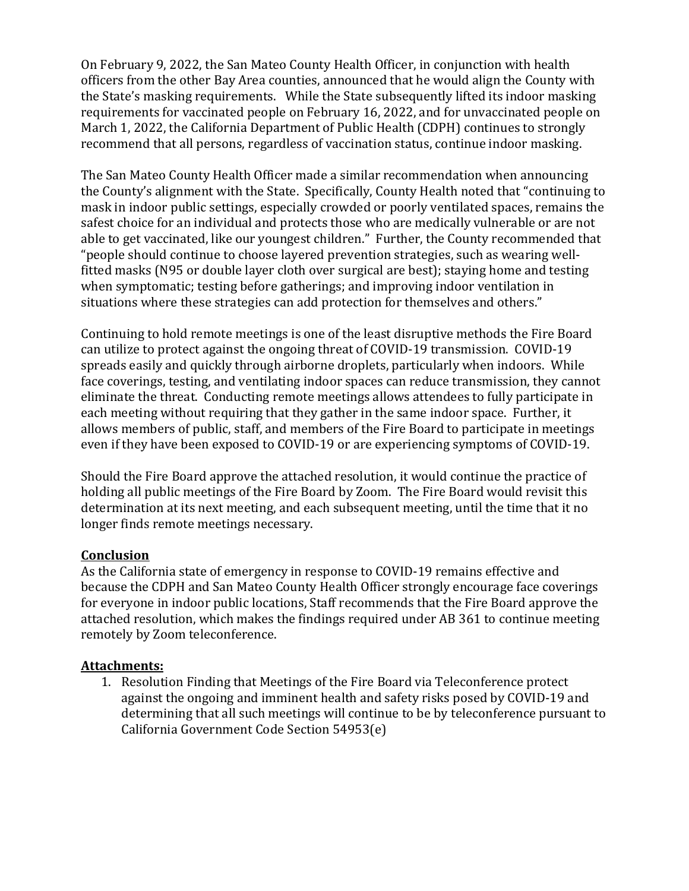On February 9, 2022, the San Mateo County Health Officer, in conjunction with health officers from the other Bay Area counties, announced that he would align the County with the State's masking requirements. While the State subsequently lifted its indoor masking requirements for vaccinated people on February 16, 2022, and for unvaccinated people on March 1, 2022, the California Department of Public Health (CDPH) continues to strongly recommend that all persons, regardless of vaccination status, continue indoor masking.

The San Mateo County Health Officer made a similar recommendation when announcing the County's alignment with the State. Specifically, County Health noted that "continuing to mask in indoor public settings, especially crowded or poorly ventilated spaces, remains the safest choice for an individual and protects those who are medically vulnerable or are not able to get vaccinated, like our youngest children." Further, the County recommended that "people should continue to choose layered prevention strategies, such as wearing wellfitted masks (N95 or double layer cloth over surgical are best); staying home and testing when symptomatic; testing before gatherings; and improving indoor ventilation in situations where these strategies can add protection for themselves and others."

Continuing to hold remote meetings is one of the least disruptive methods the Fire Board can utilize to protect against the ongoing threat of COVID-19 transmission. COVID-19 spreads easily and quickly through airborne droplets, particularly when indoors. While face coverings, testing, and ventilating indoor spaces can reduce transmission, they cannot eliminate the threat. Conducting remote meetings allows attendees to fully participate in each meeting without requiring that they gather in the same indoor space. Further, it allows members of public, staff, and members of the Fire Board to participate in meetings even if they have been exposed to COVID-19 or are experiencing symptoms of COVID-19.

Should the Fire Board approve the attached resolution, it would continue the practice of holding all public meetings of the Fire Board by Zoom. The Fire Board would revisit this determination at its next meeting, and each subsequent meeting, until the time that it no longer finds remote meetings necessary.

# **Conclusion**

As the California state of emergency in response to COVID-19 remains effective and because the CDPH and San Mateo County Health Officer strongly encourage face coverings for everyone in indoor public locations, Staff recommends that the Fire Board approve the attached resolution, which makes the findings required under AB 361 to continue meeting remotely by Zoom teleconference.

# **Attachments:**

1. Resolution Finding that Meetings of the Fire Board via Teleconference protect against the ongoing and imminent health and safety risks posed by COVID-19 and determining that all such meetings will continue to be by teleconference pursuant to California Government Code Section 54953(e)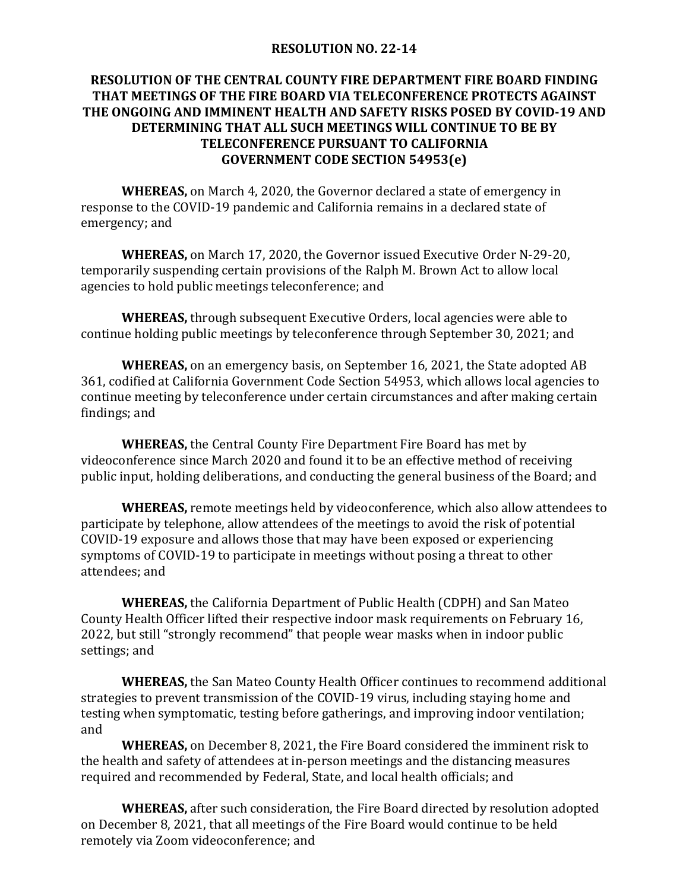## **RESOLUTION NO. 22-14**

# **RESOLUTION OF THE CENTRAL COUNTY FIRE DEPARTMENT FIRE BOARD FINDING THAT MEETINGS OF THE FIRE BOARD VIA TELECONFERENCE PROTECTS AGAINST THE ONGOING AND IMMINENT HEALTH AND SAFETY RISKS POSED BY COVID-19 AND DETERMINING THAT ALL SUCH MEETINGS WILL CONTINUE TO BE BY TELECONFERENCE PURSUANT TO CALIFORNIA GOVERNMENT CODE SECTION 54953(e)**

**WHEREAS,** on March 4, 2020, the Governor declared a state of emergency in response to the COVID-19 pandemic and California remains in a declared state of emergency; and

**WHEREAS,** on March 17, 2020, the Governor issued Executive Order N-29-20, temporarily suspending certain provisions of the Ralph M. Brown Act to allow local agencies to hold public meetings teleconference; and

**WHEREAS,** through subsequent Executive Orders, local agencies were able to continue holding public meetings by teleconference through September 30, 2021; and

**WHEREAS,** on an emergency basis, on September 16, 2021, the State adopted AB 361, codified at California Government Code Section 54953, which allows local agencies to continue meeting by teleconference under certain circumstances and after making certain findings; and

**WHEREAS,** the Central County Fire Department Fire Board has met by videoconference since March 2020 and found it to be an effective method of receiving public input, holding deliberations, and conducting the general business of the Board; and

**WHEREAS,** remote meetings held by videoconference, which also allow attendees to participate by telephone, allow attendees of the meetings to avoid the risk of potential COVID-19 exposure and allows those that may have been exposed or experiencing symptoms of COVID-19 to participate in meetings without posing a threat to other attendees; and

**WHEREAS,** the California Department of Public Health (CDPH) and San Mateo County Health Officer lifted their respective indoor mask requirements on February 16, 2022, but still "strongly recommend" that people wear masks when in indoor public settings; and

**WHEREAS,** the San Mateo County Health Officer continues to recommend additional strategies to prevent transmission of the COVID-19 virus, including staying home and testing when symptomatic, testing before gatherings, and improving indoor ventilation; and

**WHEREAS,** on December 8, 2021, the Fire Board considered the imminent risk to the health and safety of attendees at in-person meetings and the distancing measures required and recommended by Federal, State, and local health officials; and

**WHEREAS,** after such consideration, the Fire Board directed by resolution adopted on December 8, 2021, that all meetings of the Fire Board would continue to be held remotely via Zoom videoconference; and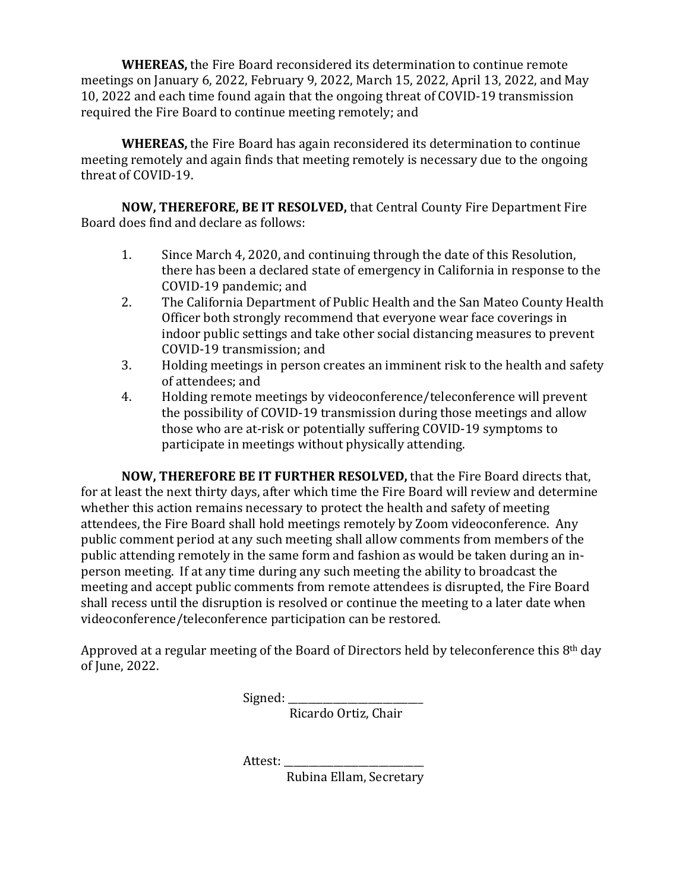**WHEREAS,** the Fire Board reconsidered its determination to continue remote meetings on January 6, 2022, February 9, 2022, March 15, 2022, April 13, 2022, and May 10, 2022 and each time found again that the ongoing threat of COVID-19 transmission required the Fire Board to continue meeting remotely; and

**WHEREAS,** the Fire Board has again reconsidered its determination to continue meeting remotely and again finds that meeting remotely is necessary due to the ongoing threat of COVID-19.

**NOW, THEREFORE, BE IT RESOLVED,** that Central County Fire Department Fire Board does find and declare as follows:

- 1. Since March 4, 2020, and continuing through the date of this Resolution, there has been a declared state of emergency in California in response to the COVID-19 pandemic; and
- 2. The California Department of Public Health and the San Mateo County Health Officer both strongly recommend that everyone wear face coverings in indoor public settings and take other social distancing measures to prevent COVID-19 transmission; and
- 3. Holding meetings in person creates an imminent risk to the health and safety of attendees; and
- 4. Holding remote meetings by videoconference/teleconference will prevent the possibility of COVID-19 transmission during those meetings and allow those who are at-risk or potentially suffering COVID-19 symptoms to participate in meetings without physically attending.

**NOW, THEREFORE BE IT FURTHER RESOLVED,** that the Fire Board directs that, for at least the next thirty days, after which time the Fire Board will review and determine whether this action remains necessary to protect the health and safety of meeting attendees, the Fire Board shall hold meetings remotely by Zoom videoconference. Any public comment period at any such meeting shall allow comments from members of the public attending remotely in the same form and fashion as would be taken during an inperson meeting. If at any time during any such meeting the ability to broadcast the meeting and accept public comments from remote attendees is disrupted, the Fire Board shall recess until the disruption is resolved or continue the meeting to a later date when videoconference/teleconference participation can be restored.

Approved at a regular meeting of the Board of Directors held by teleconference this 8<sup>th</sup> day of June, 2022.

Signed:

Ricardo Ortiz, Chair

Attest:

Rubina Ellam, Secretary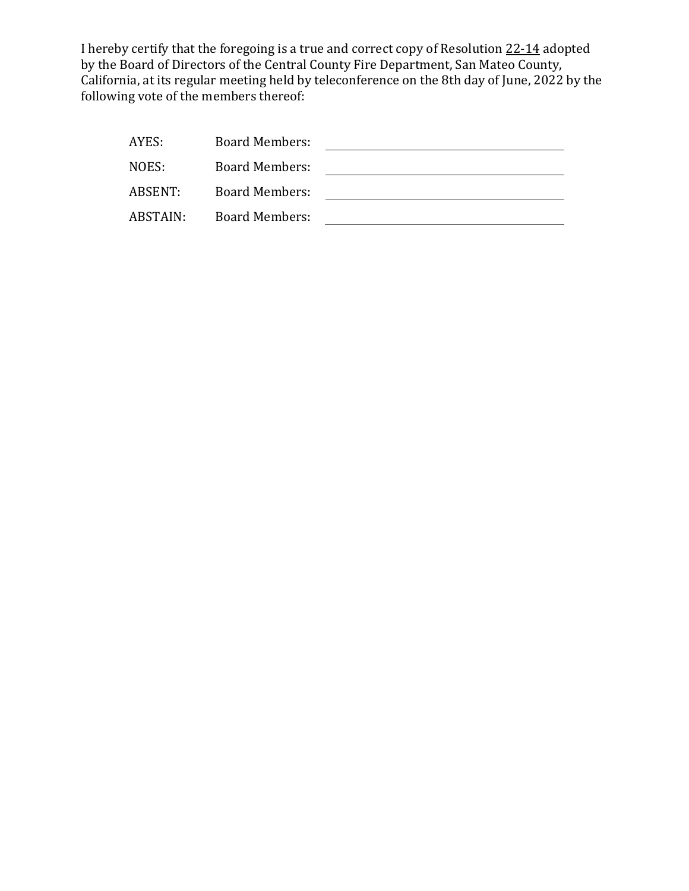I hereby certify that the foregoing is a true and correct copy of Resolution 22-14 adopted by the Board of Directors of the Central County Fire Department, San Mateo County, California, at its regular meeting held by teleconference on the 8th day of June, 2022 by the following vote of the members thereof:

| AYES:    | <b>Board Members:</b> |  |
|----------|-----------------------|--|
| NOES:    | Board Members:        |  |
| ABSENT:  | <b>Board Members:</b> |  |
| ABSTAIN: | <b>Board Members:</b> |  |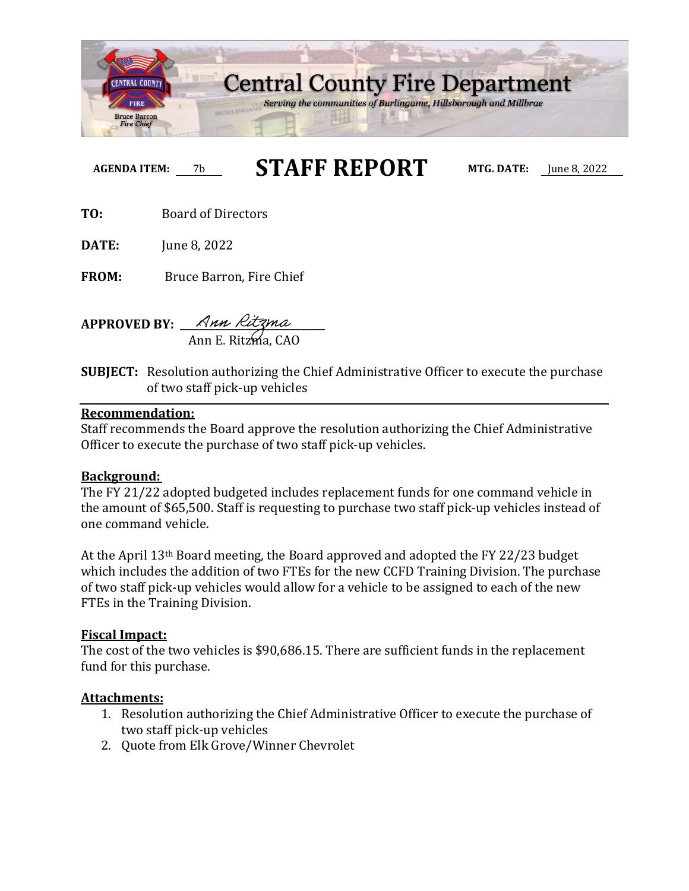

**AGENDA ITEM:** 7b **STAFF REPORT MTG. DATE:** June 8, 2022

**TO:** Board of Directors

**DATE:** June 8, 2022

**FROM:** Bruce Barron, Fire Chief

**APPROVED BY: \_\_\_\_\_\_\_\_\_\_\_\_\_\_\_\_\_\_\_\_\_\_\_\_\_\_\_\_\_** Ann E. Ritzma, CAO

**SUBJECT:** Resolution authorizing the Chief Administrative Officer to execute the purchase of two staff pick-up vehicles

## **Recommendation:**

Staff recommends the Board approve the resolution authorizing the Chief Administrative Officer to execute the purchase of two staff pick-up vehicles.

# **Background:**

The FY 21/22 adopted budgeted includes replacement funds for one command vehicle in the amount of \$65,500. Staff is requesting to purchase two staff pick-up vehicles instead of one command vehicle.

At the April 13th Board meeting, the Board approved and adopted the FY 22/23 budget which includes the addition of two FTEs for the new CCFD Training Division. The purchase of two staff pick-up vehicles would allow for a vehicle to be assigned to each of the new FTEs in the Training Division.

# **Fiscal Impact:**

The cost of the two vehicles is \$90,686.15. There are sufficient funds in the replacement fund for this purchase.

## **Attachments:**

- 1. Resolution authorizing the Chief Administrative Officer to execute the purchase of two staff pick-up vehicles
- 2. Quote from Elk Grove/Winner Chevrolet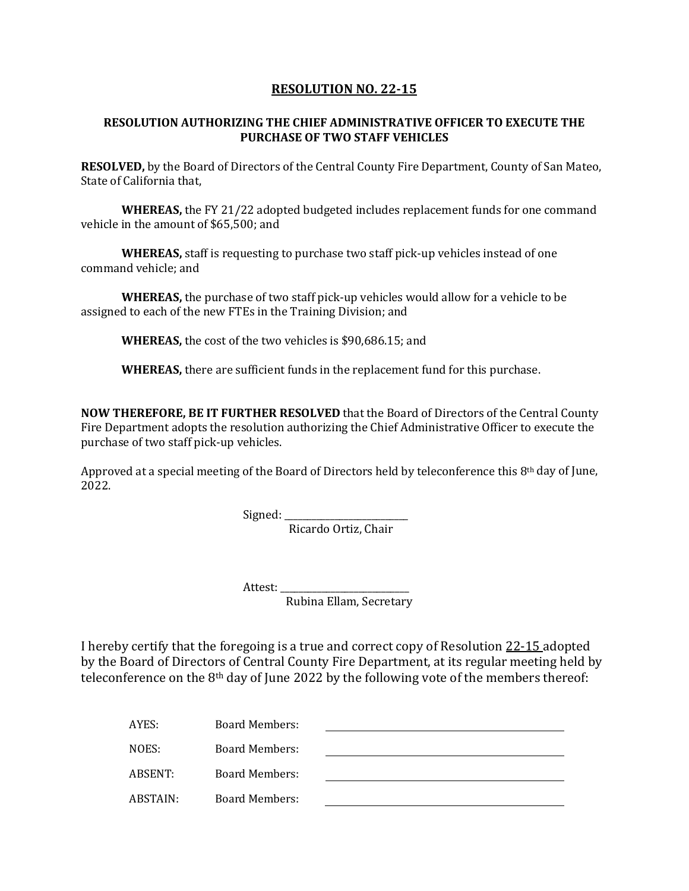## **RESOLUTION NO. 22-15**

#### **RESOLUTION AUTHORIZING THE CHIEF ADMINISTRATIVE OFFICER TO EXECUTE THE PURCHASE OF TWO STAFF VEHICLES**

**RESOLVED,** by the Board of Directors of the Central County Fire Department, County of San Mateo, State of California that,

**WHEREAS,** the FY 21/22 adopted budgeted includes replacement funds for one command vehicle in the amount of \$65,500; and

**WHEREAS,** staff is requesting to purchase two staff pick-up vehicles instead of one command vehicle; and

**WHEREAS,** the purchase of two staff pick-up vehicles would allow for a vehicle to be assigned to each of the new FTEs in the Training Division; and

**WHEREAS,** the cost of the two vehicles is \$90,686.15; and

**WHEREAS,** there are sufficient funds in the replacement fund for this purchase.

**NOW THEREFORE, BE IT FURTHER RESOLVED** that the Board of Directors of the Central County Fire Department adopts the resolution authorizing the Chief Administrative Officer to execute the purchase of two staff pick-up vehicles.

Approved at a special meeting of the Board of Directors held by teleconference this  $8<sup>th</sup>$  day of June, 2022.

Signed: \_\_\_\_\_\_\_\_\_\_\_\_\_\_\_\_\_\_\_\_\_\_\_\_\_\_\_

Ricardo Ortiz, Chair

Attest:

Rubina Ellam, Secretary

I hereby certify that the foregoing is a true and correct copy of Resolution 22-15 adopted by the Board of Directors of Central County Fire Department, at its regular meeting held by teleconference on the  $8<sup>th</sup>$  day of June 2022 by the following vote of the members thereof:

| AYES:    | Board Members:        |  |
|----------|-----------------------|--|
| NOES:    | Board Members:        |  |
| ABSENT:  | Board Members:        |  |
| ABSTAIN: | <b>Board Members:</b> |  |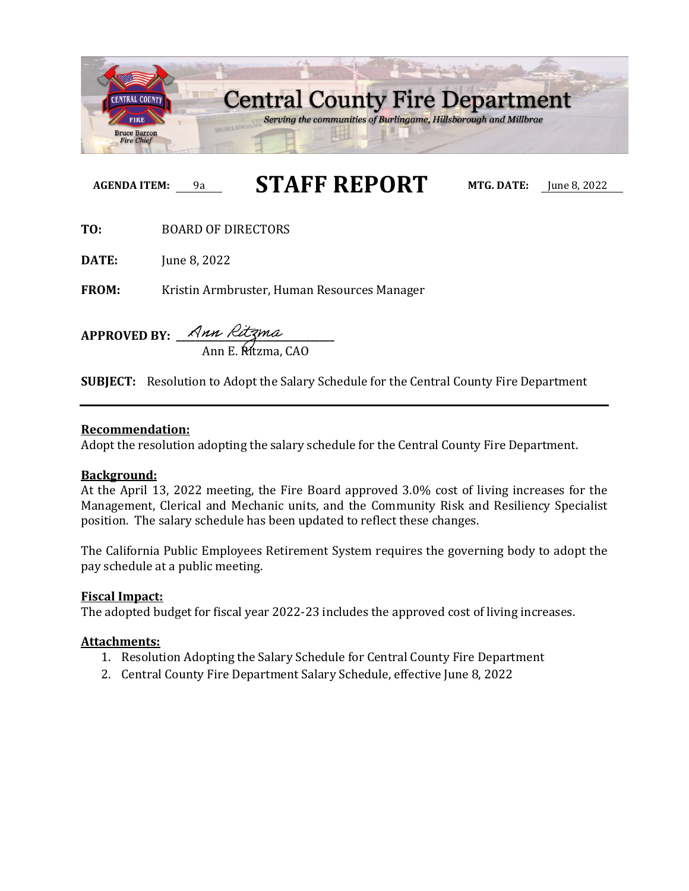

# **AGENDA ITEM:** 9a **STAFF REPORT MTG. DATE:** June 8, 2022

**TO:** BOARD OF DIRECTORS

DATE: **DATE:** June 8, 2022

FROM: Kristin Armbruster, Human Resources Manager

**APPROVED BY: \_\_\_\_\_\_\_\_\_\_\_\_\_\_\_\_\_\_\_\_\_\_\_\_\_\_\_\_\_\_\_\_\_** Ann E. Ritzma, CAO

**SUBJECT:** Resolution to Adopt the Salary Schedule for the Central County Fire Department

#### **Recommendation:**

Adopt the resolution adopting the salary schedule for the Central County Fire Department.

#### **Background:**

At the April 13, 2022 meeting, the Fire Board approved 3.0% cost of living increases for the Management, Clerical and Mechanic units, and the Community Risk and Resiliency Specialist position. The salary schedule has been updated to reflect these changes.

The California Public Employees Retirement System requires the governing body to adopt the pay schedule at a public meeting.

#### **Fiscal Impact:**

The adopted budget for fiscal year 2022-23 includes the approved cost of living increases.

#### **Attachments:**

- 1. Resolution Adopting the Salary Schedule for Central County Fire Department
- 2. Central County Fire Department Salary Schedule, effective June 8, 2022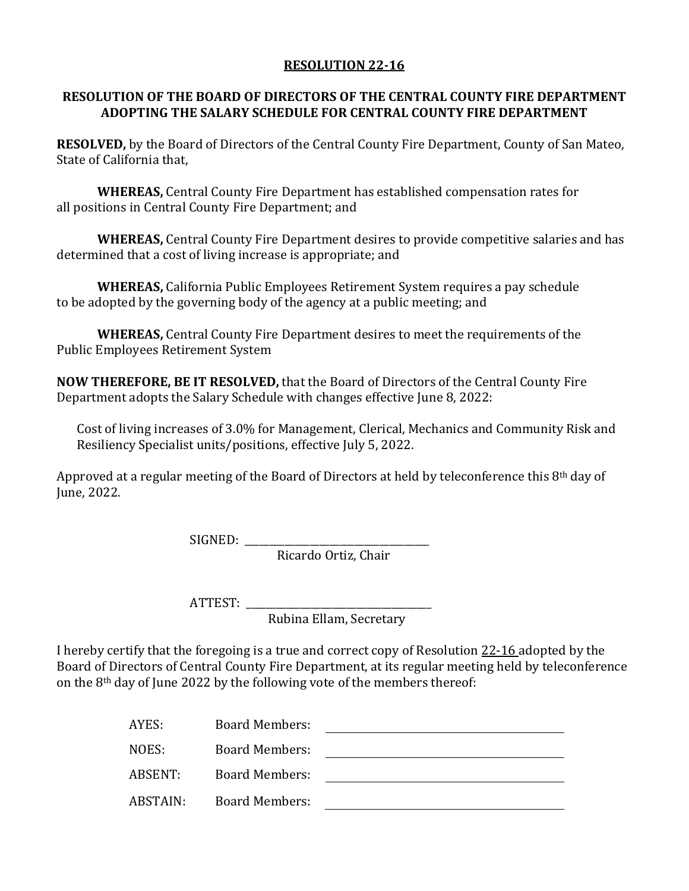# **RESOLUTION 22-16**

# **RESOLUTION OF THE BOARD OF DIRECTORS OF THE CENTRAL COUNTY FIRE DEPARTMENT ADOPTING THE SALARY SCHEDULE FOR CENTRAL COUNTY FIRE DEPARTMENT**

**RESOLVED,** by the Board of Directors of the Central County Fire Department, County of San Mateo, State of California that,

**WHEREAS,** Central County Fire Department has established compensation rates for all positions in Central County Fire Department; and

**WHEREAS,** Central County Fire Department desires to provide competitive salaries and has determined that a cost of living increase is appropriate; and

**WHEREAS,** California Public Employees Retirement System requires a pay schedule to be adopted by the governing body of the agency at a public meeting; and

**WHEREAS,** Central County Fire Department desires to meet the requirements of the Public Employees Retirement System

**NOW THEREFORE, BE IT RESOLVED,** that the Board of Directors of the Central County Fire Department adopts the Salary Schedule with changes effective June 8, 2022:

Cost of living increases of 3.0% for Management, Clerical, Mechanics and Community Risk and Resiliency Specialist units/positions, effective July 5, 2022.

Approved at a regular meeting of the Board of Directors at held by teleconference this 8<sup>th</sup> day of June, 2022.

SIGNED: \_\_\_\_\_\_\_\_\_\_\_\_\_\_\_\_\_\_\_\_\_\_\_\_\_\_\_\_\_\_\_\_\_\_\_\_\_

Ricardo Ortiz, Chair

ATTEST: \_\_\_\_\_\_\_\_\_\_\_\_\_\_\_\_\_\_\_\_\_\_\_\_\_\_\_\_\_\_\_\_\_\_\_\_\_

Rubina Ellam, Secretary

I hereby certify that the foregoing is a true and correct copy of Resolution 22-16 adopted by the Board of Directors of Central County Fire Department, at its regular meeting held by teleconference on the 8th day of June 2022 by the following vote of the members thereof:

| AYES:    | <b>Board Members:</b> |  |
|----------|-----------------------|--|
| NOES:    | <b>Board Members:</b> |  |
| ABSENT:  | <b>Board Members:</b> |  |
| ABSTAIN: | <b>Board Members:</b> |  |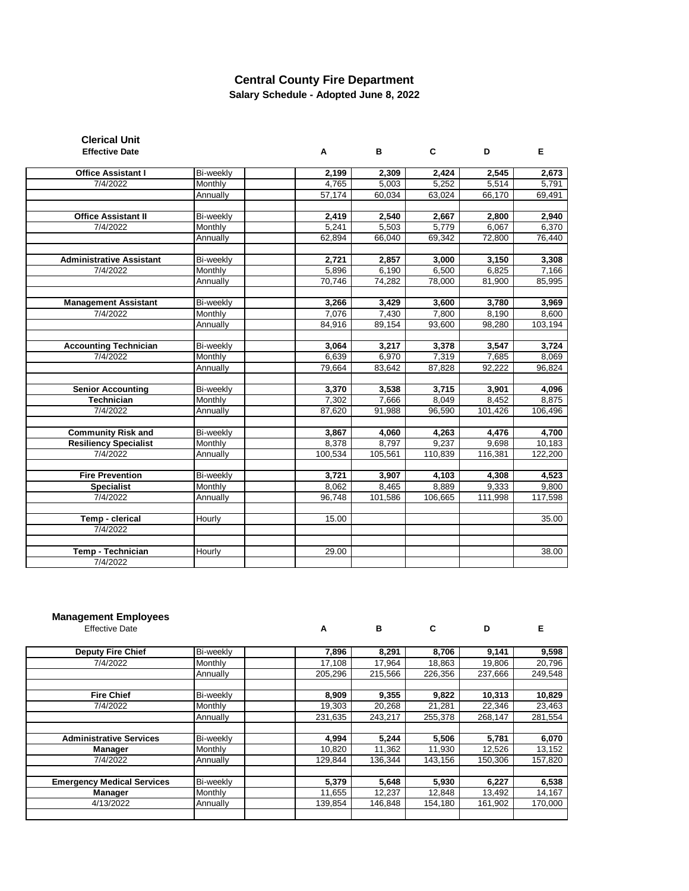# **Central County Fire Department**

**Salary Schedule - Adopted June 8, 2022**

| <b>Clerical Unit</b>            |           |         |         |         |         |         |
|---------------------------------|-----------|---------|---------|---------|---------|---------|
| <b>Effective Date</b>           |           | A       | B       | C       | D       | Е       |
| <b>Office Assistant I</b>       | Bi-weekly | 2,199   | 2,309   | 2,424   | 2,545   | 2,673   |
| 7/4/2022                        | Monthly   | 4,765   | 5,003   | 5,252   | 5,514   | 5,791   |
|                                 | Annually  | 57,174  | 60,034  | 63,024  | 66,170  | 69,491  |
|                                 |           |         |         |         |         |         |
| <b>Office Assistant II</b>      | Bi-weekly | 2,419   | 2,540   | 2,667   | 2,800   | 2,940   |
| 7/4/2022                        | Monthly   | 5,241   | 5,503   | 5,779   | 6,067   | 6,370   |
|                                 | Annually  | 62,894  | 66,040  | 69,342  | 72,800  | 76,440  |
|                                 |           |         |         |         |         |         |
| <b>Administrative Assistant</b> | Bi-weekly | 2,721   | 2,857   | 3,000   | 3,150   | 3,308   |
| 7/4/2022                        | Monthly   | 5,896   | 6,190   | 6,500   | 6,825   | 7,166   |
|                                 | Annually  | 70,746  | 74,282  | 78,000  | 81,900  | 85,995  |
| <b>Management Assistant</b>     | Bi-weekly | 3,266   | 3,429   | 3,600   | 3,780   | 3,969   |
| 7/4/2022                        | Monthly   | 7,076   | 7,430   | 7,800   | 8,190   | 8,600   |
|                                 | Annually  | 84,916  | 89,154  | 93,600  | 98,280  | 103,194 |
|                                 |           |         |         |         |         |         |
| <b>Accounting Technician</b>    | Bi-weekly | 3,064   | 3,217   | 3,378   | 3,547   | 3,724   |
| 7/4/2022                        | Monthly   | 6,639   | 6,970   | 7,319   | 7,685   | 8,069   |
|                                 | Annually  | 79,664  | 83,642  | 87.828  | 92,222  | 96,824  |
|                                 |           |         |         |         |         |         |
| <b>Senior Accounting</b>        | Bi-weekly | 3,370   | 3,538   | 3,715   | 3,901   | 4,096   |
| <b>Technician</b>               | Monthly   | 7,302   | 7,666   | 8,049   | 8,452   | 8,875   |
| 7/4/2022                        | Annually  | 87,620  | 91,988  | 96,590  | 101,426 | 106,496 |
| <b>Community Risk and</b>       | Bi-weekly | 3,867   | 4,060   | 4,263   | 4,476   | 4,700   |
| <b>Resiliency Specialist</b>    | Monthly   | 8,378   | 8,797   | 9,237   | 9,698   | 10,183  |
| 7/4/2022                        | Annually  | 100,534 | 105,561 | 110,839 | 116,381 | 122,200 |
|                                 |           |         |         |         |         |         |
| <b>Fire Prevention</b>          | Bi-weekly | 3,721   | 3,907   | 4,103   | 4,308   | 4,523   |
| <b>Specialist</b>               | Monthly   | 8,062   | 8,465   | 8,889   | 9,333   | 9,800   |
| 7/4/2022                        | Annually  | 96,748  | 101,586 | 106,665 | 111,998 | 117,598 |
|                                 |           |         |         |         |         |         |
| Temp - clerical                 | Hourly    | 15.00   |         |         |         | 35.00   |
| 7/4/2022                        |           |         |         |         |         |         |
| Temp - Technician               | Hourly    | 29.00   |         |         |         | 38.00   |
| 7/4/2022                        |           |         |         |         |         |         |

#### **Management Employees**

Effective Date **A B C D E Deputy Fire Chief** Bi-weekly 7,896 8,291 8,706 9,141 9,598 7/4/2022 Monthly 17,108 17,964 18,863 19,806 20,796 7/4/2022 | Monthly | 17,108 | 17,964 | 18,863 | 19,806 | 20,796 Annually 205,296 215,566 226,356 237,666 249,548 **Fire Chief** Bi-weekly **8,909 9,355 9,822 10,313 10,829** 7/4/2022 Monthly 19,303 20,268 21,281 22,346 23,463 Annually 231,635 243,217 255,378 268,147 281,554 **Administrative Services** Bi-weekly **1,994** 5,244 5,506 5,781 6,070 **Manager** Monthly 10,820 11,362 11,930 12,526 13,152 **Manager** Monthly 10,820 11,362 11,930 12,526 13,152 7/4/2022 Annually 129,844 136,344 143,156 150,306 157,820 **Emergency Medical Services** Bi-weekly **5,379 5,648 5,930 6,227 6,538 Manager** Monthly 1 11,655 12,237 12,848 13,492 14,167 4/13/2022 Annually 2010 139,854 146,848 154,180 161,902 170,000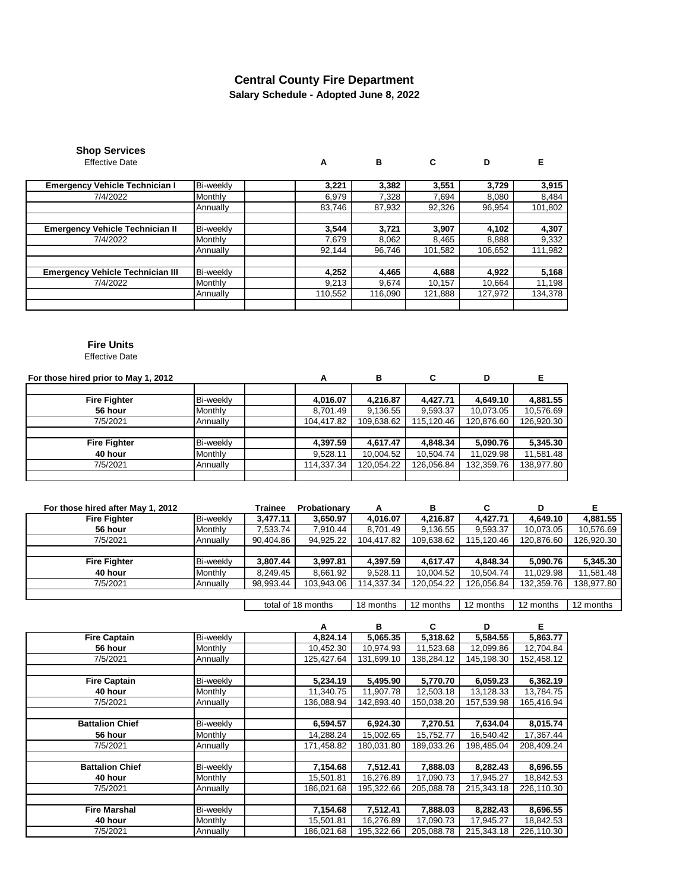## **Salary Schedule - Adopted June 8, 2022 Central County Fire Department**

| <b>Shop Services</b>  |
|-----------------------|
| <b>Effective Date</b> |

Effective Date **A B C D E**

| <b>Emergency Vehicle Technician I</b>   | Bi-weekly | 3,221   | 3,382   | 3,551   | 3.729   | 3,915   |
|-----------------------------------------|-----------|---------|---------|---------|---------|---------|
|                                         |           |         |         |         |         |         |
| 7/4/2022                                | Monthly   | 6,979   | 7.328   | 7.694   | 8,080   | 8,484   |
|                                         | Annually  | 83,746  | 87,932  | 92,326  | 96,954  | 101,802 |
|                                         |           |         |         |         |         |         |
| <b>Emergency Vehicle Technician II</b>  | Bi-weekly | 3,544   | 3,721   | 3,907   | 4,102   | 4,307   |
| 7/4/2022                                | Monthly   | 7.679   | 8,062   | 8,465   | 8,888   | 9,332   |
|                                         | Annually  | 92.144  | 96.746  | 101,582 | 106,652 | 111,982 |
|                                         |           |         |         |         |         |         |
| <b>Emergency Vehicle Technician III</b> | Bi-weekly | 4,252   | 4,465   | 4,688   | 4,922   | 5,168   |
| 7/4/2022                                | Monthly   | 9,213   | 9,674   | 10,157  | 10,664  | 11,198  |
|                                         | Annually  | 110,552 | 116,090 | 121,888 | 127,972 | 134,378 |
|                                         |           |         |         |         |         |         |

#### **Fire Units**

Effective Date

| For those hired prior to May 1, 2012 | А         | в          | C          | D          |            |            |
|--------------------------------------|-----------|------------|------------|------------|------------|------------|
|                                      |           |            |            |            |            |            |
| <b>Fire Fighter</b>                  | Bi-weekly | 4,016.07   | 4,216.87   | 4.427.71   | 4,649.10   | 4,881.55   |
| 56 hour                              | Monthly   | 8,701.49   | 9,136.55   | 9,593.37   | 10,073.05  | 10,576.69  |
| 7/5/2021                             | Annually  | 104,417.82 | 109,638.62 | 115,120.46 | 120,876.60 | 126,920.30 |
|                                      |           |            |            |            |            |            |
| <b>Fire Fighter</b>                  | Bi-weekly | 4,397.59   | 4,617.47   | 4,848.34   | 5,090.76   | 5,345.30   |
| 40 hour                              | Monthly   | 9.528.11   | 10,004.52  | 10,504.74  | 11,029.98  | 11,581.48  |
| 7/5/2021                             | Annually  | 114,337.34 | 120.054.22 | 126,056.84 | 132,359.76 | 138,977.80 |
|                                      |           |            |            |            |            |            |

| For those hired after May 1, 2012 |           | Trainee   | Probationary | А          | в          |            | D          |            |
|-----------------------------------|-----------|-----------|--------------|------------|------------|------------|------------|------------|
| <b>Fire Fighter</b>               | Bi-weekly | 3,477.11  | 3,650.97     | 4,016.07   | 4,216.87   | 4.427.71   | 4,649.10   | 4,881.55   |
| 56 hour                           | Monthly   | 7,533.74  | 7,910.44     | 8,701.49   | 9,136.55   | 9,593.37   | 10,073.05  | 10,576.69  |
| 7/5/2021                          | Annually  | 90.404.86 | 94,925.22    | 104.417.82 | 109,638.62 | 115.120.46 | 120.876.60 | 126,920.30 |
|                                   |           |           |              |            |            |            |            |            |
| <b>Fire Fighter</b>               | Bi-weekly | 3,807.44  | 3,997.81     | 4,397.59   | 4,617.47   | 4.848.34   | 5,090.76   | 5,345.30   |
| 40 hour                           | Monthly   | 8.249.45  | 8,661.92     | 9,528.11   | 10,004.52  | 10,504.74  | 11.029.98  | 11,581.48  |
| 7/5/2021                          | Annually  | 98,993.44 | 103,943.06   | 114,337.34 | 120.054.22 | 126,056.84 | 132.359.76 | 138.977.80 |
|                                   |           |           |              |            |            |            |            |            |

18 months 12 months 12 months 12 months 12 months total of 18 months

|                        |           | А          | в          | С          | D          | Е          |
|------------------------|-----------|------------|------------|------------|------------|------------|
| <b>Fire Captain</b>    | Bi-weekly | 4,824.14   | 5,065.35   | 5,318.62   | 5,584.55   | 5,863.77   |
| 56 hour                | Monthly   | 10,452.30  | 10,974.93  | 11,523.68  | 12,099.86  | 12,704.84  |
| 7/5/2021               | Annually  | 125,427.64 | 131,699.10 | 138,284.12 | 145,198.30 | 152,458.12 |
|                        |           |            |            |            |            |            |
| <b>Fire Captain</b>    | Bi-weekly | 5,234.19   | 5,495.90   | 5,770.70   | 6,059.23   | 6,362.19   |
| 40 hour                | Monthly   | 11,340.75  | 11,907.78  | 12,503.18  | 13,128.33  | 13,784.75  |
| 7/5/2021               | Annually  | 136,088.94 | 142,893.40 | 150,038.20 | 157,539.98 | 165,416.94 |
|                        |           |            |            |            |            |            |
| <b>Battalion Chief</b> | Bi-weekly | 6,594.57   | 6,924.30   | 7,270.51   | 7,634.04   | 8,015.74   |
| 56 hour                | Monthly   | 14,288.24  | 15,002.65  | 15,752.77  | 16,540.42  | 17,367.44  |
| 7/5/2021               | Annually  | 171,458.82 | 180,031.80 | 189,033.26 | 198.485.04 | 208.409.24 |
|                        |           |            |            |            |            |            |
| <b>Battalion Chief</b> | Bi-weekly | 7,154.68   | 7,512.41   | 7,888.03   | 8,282.43   | 8,696.55   |
| 40 hour                | Monthly   | 15,501.81  | 16,276.89  | 17,090.73  | 17,945.27  | 18,842.53  |
| 7/5/2021               | Annuallv  | 186,021.68 | 195.322.66 | 205.088.78 | 215.343.18 | 226,110.30 |
|                        |           |            |            |            |            |            |
| <b>Fire Marshal</b>    | Bi-weekly | 7,154.68   | 7,512.41   | 7.888.03   | 8.282.43   | 8,696.55   |
| 40 hour                | Monthly   | 15,501.81  | 16,276.89  | 17,090.73  | 17,945.27  | 18,842.53  |
| 7/5/2021               | Annually  | 186,021.68 | 195,322.66 | 205,088.78 | 215,343.18 | 226,110.30 |